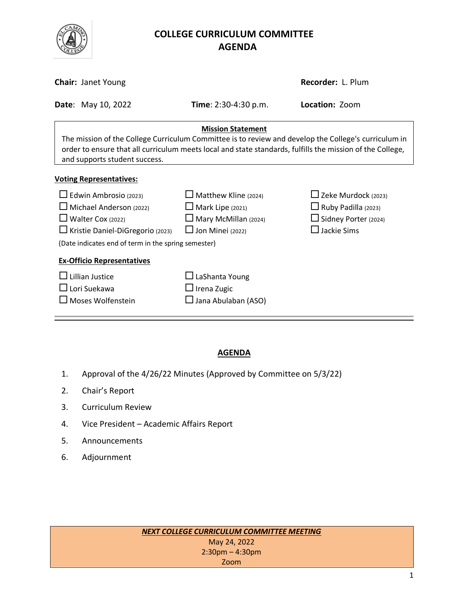

# **COLLEGE CURRICULUM COMMITTEE** **AGENDA**

| <b>Chair: Janet Young</b>                                                                                                                                                                                                                                                      | Recorder: L. Plum                                                                                                |                                                                                                                  |  |  |  |  |
|--------------------------------------------------------------------------------------------------------------------------------------------------------------------------------------------------------------------------------------------------------------------------------|------------------------------------------------------------------------------------------------------------------|------------------------------------------------------------------------------------------------------------------|--|--|--|--|
| <b>Date: May 10, 2022</b>                                                                                                                                                                                                                                                      | <b>Time</b> : 2:30-4:30 p.m.                                                                                     | <b>Location: Zoom</b>                                                                                            |  |  |  |  |
| <b>Mission Statement</b><br>The mission of the College Curriculum Committee is to review and develop the College's curriculum in<br>order to ensure that all curriculum meets local and state standards, fulfills the mission of the College,<br>and supports student success. |                                                                                                                  |                                                                                                                  |  |  |  |  |
| <b>Voting Representatives:</b><br>$\Box$ Edwin Ambrosio (2023)<br>Michael Anderson (2022)<br>Walter Cox (2022)<br>Kristie Daniel-DiGregorio (2023)<br>(Date indicates end of term in the spring semester)                                                                      | $\Box$ Matthew Kline (2024)<br>$\Box$ Mark Lipe (2021)<br>$\Box$ Mary McMillan (2024)<br>$\Box$ Jon Minei (2022) | $\Box$ Zeke Murdock (2023)<br>$\Box$ Ruby Padilla (2023)<br>$\Box$ Sidney Porter (2024)<br>$\square$ Jackie Sims |  |  |  |  |
| <b>Ex-Officio Representatives</b><br><b>Lillian Justice</b><br>$\square$ Lori Suekawa<br>Moses Wolfenstein                                                                                                                                                                     | $\Box$ LaShanta Young<br>$\Box$ Irena Zugic<br>$\Box$ Jana Abulaban (ASO)                                        |                                                                                                                  |  |  |  |  |

# **AGENDA**

- 1. Approval of the 4/26/22 Minutes (Approved by Committee on 5/3/22)
- 2. Chair's Report
- 3. Curriculum Review
- 4. Vice President Academic Affairs Report
- 5. Announcements
- 6. Adjournment

| NEXT COLLEGE CURRICULUM COMMITTEE MEETING |  |
|-------------------------------------------|--|
| May 24, 2022                              |  |
| $2:30$ pm – 4:30pm                        |  |
| Zoom                                      |  |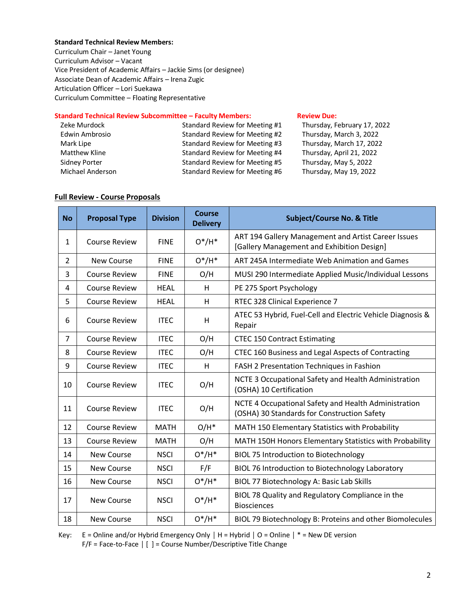### **Standard Technical Review Members:**

Curriculum Chair – Janet Young Curriculum Advisor – Vacant Vice President of Academic Affairs – Jackie Sims (or designee) Associate Dean of Academic Affairs – Irena Zugic Articulation Officer – Lori Suekawa Curriculum Committee – Floating Representative

#### **Standard Technical Review Subcommittee – Faculty Members: [Review](http://www.curricunet.com/elcamino/documents/Spring%202016%20CCC%20Timeline.pdf) Due:**

| Zeke Murdock         | Standard Review for Meeting #1 | Thursday, February 17, 2022 |
|----------------------|--------------------------------|-----------------------------|
| Edwin Ambrosio       | Standard Review for Meeting #2 | Thursday, March 3, 2022     |
| Mark Lipe            | Standard Review for Meeting #3 | Thursday, March 17, 2022    |
| <b>Matthew Kline</b> | Standard Review for Meeting #4 | Thursday, April 21, 2022    |
| Sidney Porter        | Standard Review for Meeting #5 | Thursday, May 5, 2022       |
| Michael Anderson     | Standard Review for Meeting #6 | Thursday, May 19, 2022      |
|                      |                                |                             |

### **Full Review - Course Proposals**

| <b>No</b>      | <b>Proposal Type</b> | <b>Division</b> | <b>Course</b><br><b>Delivery</b> | <b>Subject/Course No. &amp; Title</b>                                                               |
|----------------|----------------------|-----------------|----------------------------------|-----------------------------------------------------------------------------------------------------|
| 1              | <b>Course Review</b> | <b>FINE</b>     | $O^*/H^*$                        | ART 194 Gallery Management and Artist Career Issues<br>[Gallery Management and Exhibition Design]   |
| $\overline{2}$ | New Course           | <b>FINE</b>     | $O^*/H^*$                        | ART 245A Intermediate Web Animation and Games                                                       |
| 3              | <b>Course Review</b> | <b>FINE</b>     | O/H                              | MUSI 290 Intermediate Applied Music/Individual Lessons                                              |
| 4              | <b>Course Review</b> | <b>HEAL</b>     | H                                | PE 275 Sport Psychology                                                                             |
| 5              | <b>Course Review</b> | <b>HEAL</b>     | Н                                | RTEC 328 Clinical Experience 7                                                                      |
| 6              | <b>Course Review</b> | <b>ITEC</b>     | H                                | ATEC 53 Hybrid, Fuel-Cell and Electric Vehicle Diagnosis &<br>Repair                                |
| $\overline{7}$ | <b>Course Review</b> | <b>ITEC</b>     | O/H                              | <b>CTEC 150 Contract Estimating</b>                                                                 |
| 8              | <b>Course Review</b> | <b>ITEC</b>     | O/H                              | CTEC 160 Business and Legal Aspects of Contracting                                                  |
| 9              | <b>Course Review</b> | <b>ITEC</b>     | Н                                | FASH 2 Presentation Techniques in Fashion                                                           |
| 10             | <b>Course Review</b> | <b>ITEC</b>     | O/H                              | NCTE 3 Occupational Safety and Health Administration<br>(OSHA) 10 Certification                     |
| 11             | <b>Course Review</b> | <b>ITEC</b>     | O/H                              | NCTE 4 Occupational Safety and Health Administration<br>(OSHA) 30 Standards for Construction Safety |
| 12             | <b>Course Review</b> | <b>MATH</b>     | $O/H^*$                          | MATH 150 Elementary Statistics with Probability                                                     |
| 13             | <b>Course Review</b> | <b>MATH</b>     | O/H                              | MATH 150H Honors Elementary Statistics with Probability                                             |
| 14             | New Course           | <b>NSCI</b>     | $O^*/H^*$                        | <b>BIOL 75 Introduction to Biotechnology</b>                                                        |
| 15             | <b>New Course</b>    | <b>NSCI</b>     | F/F                              | BIOL 76 Introduction to Biotechnology Laboratory                                                    |
| 16             | <b>New Course</b>    | <b>NSCI</b>     | $O^*/H^*$                        | BIOL 77 Biotechnology A: Basic Lab Skills                                                           |
| 17             | <b>New Course</b>    | <b>NSCI</b>     | $O^*/H^*$                        | BIOL 78 Quality and Regulatory Compliance in the<br><b>Biosciences</b>                              |
| 18             | New Course           | <b>NSCI</b>     | $O^*/H^*$                        | BIOL 79 Biotechnology B: Proteins and other Biomolecules                                            |

Key: E = Online and/or Hybrid Emergency Only **│** H = Hybrid **│** O = Online **│** \* = New DE version F/F = Face-to-Face **│** [ ] = Course Number/Descriptive Title Change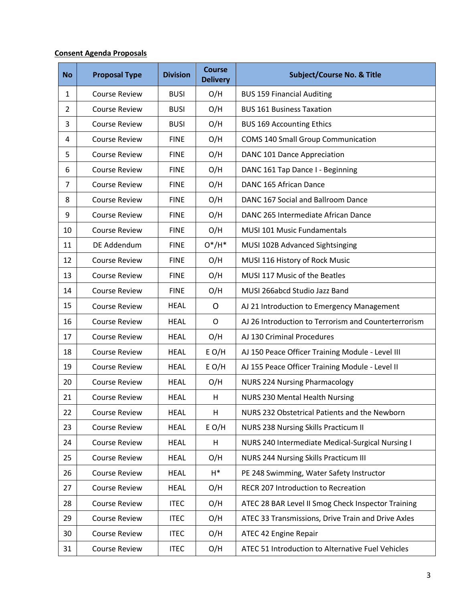## **Consent Agenda Proposals**

| <b>No</b>      | <b>Proposal Type</b> | <b>Division</b> | <b>Course</b><br><b>Delivery</b> | <b>Subject/Course No. &amp; Title</b>                |
|----------------|----------------------|-----------------|----------------------------------|------------------------------------------------------|
| 1              | <b>Course Review</b> | <b>BUSI</b>     | O/H                              | <b>BUS 159 Financial Auditing</b>                    |
| $\overline{2}$ | <b>Course Review</b> | <b>BUSI</b>     | O/H                              | <b>BUS 161 Business Taxation</b>                     |
| 3              | <b>Course Review</b> | <b>BUSI</b>     | O/H                              | <b>BUS 169 Accounting Ethics</b>                     |
| 4              | <b>Course Review</b> | <b>FINE</b>     | O/H                              | <b>COMS 140 Small Group Communication</b>            |
| 5              | <b>Course Review</b> | <b>FINE</b>     | O/H                              | DANC 101 Dance Appreciation                          |
| 6              | <b>Course Review</b> | <b>FINE</b>     | O/H                              | DANC 161 Tap Dance I - Beginning                     |
| $\overline{7}$ | <b>Course Review</b> | <b>FINE</b>     | O/H                              | DANC 165 African Dance                               |
| 8              | <b>Course Review</b> | <b>FINE</b>     | O/H                              | DANC 167 Social and Ballroom Dance                   |
| 9              | <b>Course Review</b> | <b>FINE</b>     | O/H                              | DANC 265 Intermediate African Dance                  |
| 10             | <b>Course Review</b> | <b>FINE</b>     | O/H                              | MUSI 101 Music Fundamentals                          |
| 11             | DE Addendum          | <b>FINE</b>     | $O^*/H^*$                        | MUSI 102B Advanced Sightsinging                      |
| 12             | <b>Course Review</b> | <b>FINE</b>     | O/H                              | MUSI 116 History of Rock Music                       |
| 13             | <b>Course Review</b> | <b>FINE</b>     | O/H                              | MUSI 117 Music of the Beatles                        |
| 14             | <b>Course Review</b> | <b>FINE</b>     | O/H                              | MUSI 266abcd Studio Jazz Band                        |
| 15             | <b>Course Review</b> | <b>HEAL</b>     | $\mathsf{O}$                     | AJ 21 Introduction to Emergency Management           |
| 16             | <b>Course Review</b> | <b>HEAL</b>     | $\mathsf{O}$                     | AJ 26 Introduction to Terrorism and Counterterrorism |
| 17             | <b>Course Review</b> | <b>HEAL</b>     | O/H                              | AJ 130 Criminal Procedures                           |
| 18             | <b>Course Review</b> | <b>HEAL</b>     | $E$ O/H                          | AJ 150 Peace Officer Training Module - Level III     |
| 19             | <b>Course Review</b> | <b>HEAL</b>     | $E$ O/H                          | AJ 155 Peace Officer Training Module - Level II      |
| 20             | <b>Course Review</b> | <b>HEAL</b>     | O/H                              | <b>NURS 224 Nursing Pharmacology</b>                 |
| 21             | <b>Course Review</b> | <b>HEAL</b>     | H                                | <b>NURS 230 Mental Health Nursing</b>                |
| 22             | <b>Course Review</b> | <b>HEAL</b>     | н                                | NURS 232 Obstetrical Patients and the Newborn        |
| 23             | <b>Course Review</b> | <b>HEAL</b>     | $E$ O/H                          | NURS 238 Nursing Skills Practicum II                 |
| 24             | <b>Course Review</b> | <b>HEAL</b>     | н                                | NURS 240 Intermediate Medical-Surgical Nursing I     |
| 25             | <b>Course Review</b> | <b>HEAL</b>     | O/H                              | <b>NURS 244 Nursing Skills Practicum III</b>         |
| 26             | <b>Course Review</b> | <b>HEAL</b>     | $H^*$                            | PE 248 Swimming, Water Safety Instructor             |
| 27             | <b>Course Review</b> | <b>HEAL</b>     | O/H                              | RECR 207 Introduction to Recreation                  |
| 28             | <b>Course Review</b> | <b>ITEC</b>     | O/H                              | ATEC 28 BAR Level II Smog Check Inspector Training   |
| 29             | <b>Course Review</b> | <b>ITEC</b>     | O/H                              | ATEC 33 Transmissions, Drive Train and Drive Axles   |
| 30             | <b>Course Review</b> | <b>ITEC</b>     | O/H                              | ATEC 42 Engine Repair                                |
| 31             | <b>Course Review</b> | <b>ITEC</b>     | O/H                              | ATEC 51 Introduction to Alternative Fuel Vehicles    |